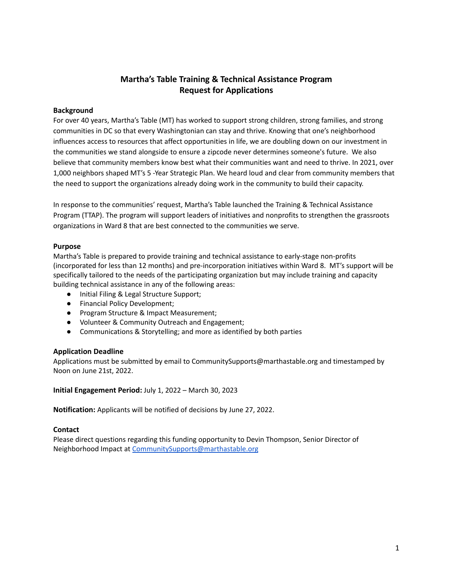# **Martha's Table Training & Technical Assistance Program Request for Applications**

#### **Background**

For over 40 years, Martha's Table (MT) has worked to support strong children, strong families, and strong communities in DC so that every Washingtonian can stay and thrive. Knowing that one's neighborhood influences access to resources that affect opportunities in life, we are doubling down on our investment in the communities we stand alongside to ensure a zipcode never determines someone's future. We also believe that community members know best what their communities want and need to thrive. In 2021, over 1,000 neighbors shaped MT's 5 -Year Strategic Plan. We heard loud and clear from community members that the need to support the organizations already doing work in the community to build their capacity.

In response to the communities' request, Martha's Table launched the Training & Technical Assistance Program (TTAP). The program will support leaders of initiatives and nonprofits to strengthen the grassroots organizations in Ward 8 that are best connected to the communities we serve.

#### **Purpose**

Martha's Table is prepared to provide training and technical assistance to early-stage non-profits (incorporated for less than 12 months) and pre-incorporation initiatives within Ward 8. MT's support will be specifically tailored to the needs of the participating organization but may include training and capacity building technical assistance in any of the following areas:

- Initial Filing & Legal Structure Support;
- Financial Policy Development;
- Program Structure & Impact Measurement;
- Volunteer & Community Outreach and Engagement;
- Communications & Storytelling; and more as identified by both parties

#### **Application Deadline**

Applications must be submitted by email to CommunitySupports@marthastable.org and timestamped by Noon on June 21st, 2022.

**Initial Engagement Period:** July 1, 2022 – March 30, 2023

**Notification:** Applicants will be notified of decisions by June 27, 2022.

#### **Contact**

Please direct questions regarding this funding opportunity to Devin Thompson, Senior Director of Neighborhood Impact at [CommunitySupports@marthastable.org](mailto:CommunitySupports@marthastable.org)